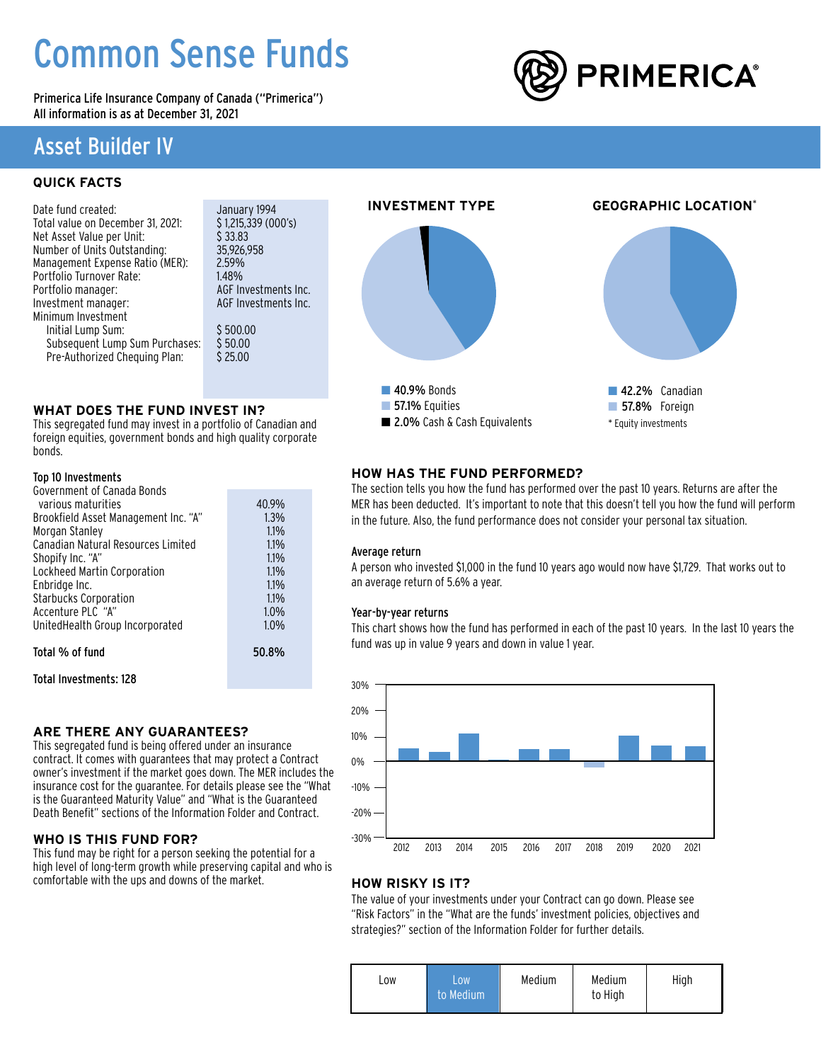# Common Sense Funds

Primerica Life Insurance Company of Canada ("Primerica") All information is as at December 31, 2021

# Asset Builder IV

# **QUICK FACTS**

| Date fund created:                | January 1994        |
|-----------------------------------|---------------------|
| Total value on December 31, 2021: | \$1,215,339 (0)     |
| Net Asset Value per Unit:         | \$33.83             |
| Number of Units Outstanding:      | 35.926.958          |
| Management Expense Ratio (MER):   | 2.59%               |
| Portfolio Turnover Rate:          | 1.48%               |
| Portfolio manager:                | AGF Investme        |
| Investment manager:               | <b>AGF Investme</b> |
| Minimum Investment                |                     |
| Initial Lump Sum:                 | \$500.00            |
| Subsequent Lump Sum Purchases:    | \$50.00             |
| Pre-Authorized Chequing Plan:     | \$25.00             |
|                                   |                     |

vestments Inc. vestments Inc.

339 (000's)

### **WHAT DOES THE FUND INVEST IN?**

This segregated fund may invest in a portfolio of Canadian and foreign equities, government bonds and high quality corporate bonds.

### Top 10 Investments

| Government of Canada Bonds           |       |
|--------------------------------------|-------|
| various maturities                   | 40.9% |
| Brookfield Asset Management Inc. "A" | 1.3%  |
| Morgan Stanley                       | 1.1%  |
| Canadian Natural Resources Limited   | 1.1%  |
| Shopify Inc. "A"                     | 1.1%  |
| Lockheed Martin Corporation          | 1.1%  |
| Enbridge Inc.                        | 1.1%  |
| <b>Starbucks Corporation</b>         | 1.1%  |
| Accenture PLC "A"                    | 1.0%  |
| UnitedHealth Group Incorporated      | 1.0%  |
| Total % of fund                      | 50.8% |
|                                      |       |

Total Investments: 128

### **ARE THERE ANY GUARANTEES?**

This segregated fund is being offered under an insurance contract. It comes with guarantees that may protect a Contract owner's investment if the market goes down. The MER includes the insurance cost for the guarantee. For details please see the "What is the Guaranteed Maturity Value" and "What is the Guaranteed Death Benefit" sections of the Information Folder and Contract.

### **WHO IS THIS FUND FOR?**

This fund may be right for a person seeking the potential for a high level of long-term growth while preserving capital and who is comfortable with the ups and downs of the market.



### **HOW HAS THE FUND PERFORMED?**

The section tells you how the fund has performed over the past 10 years. Returns are after the MER has been deducted. It's important to note that this doesn't tell you how the fund will perform in the future. Also, the fund performance does not consider your personal tax situation.

#### Average return

A person who invested \$1,000 in the fund 10 years ago would now have \$1,729. That works out to an average return of 5.6% a year.

#### Year-by-year returns

This chart shows how the fund has performed in each of the past 10 years. In the last 10 years the fund was up in value 9 years and down in value 1 year.



### **HOW RISKY IS IT?**

The value of your investments under your Contract can go down. Please see "Risk Factors" in the "What are the funds' investment policies, objectives and strategies?" section of the Information Folder for further details.

| LOW.<br>LOW<br>to Medium | Medium | Medium<br>to High | High |
|--------------------------|--------|-------------------|------|
|--------------------------|--------|-------------------|------|